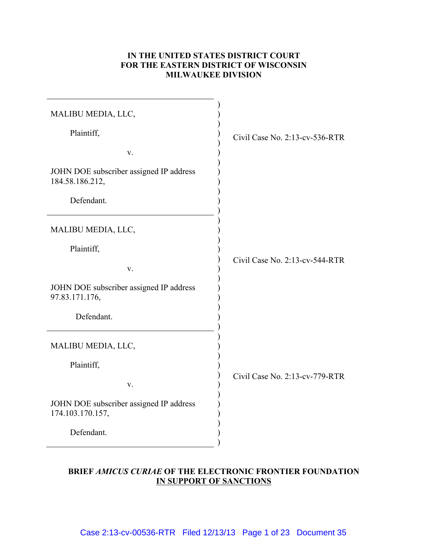## **IN THE UNITED STATES DISTRICT COURT FOR THE EASTERN DISTRICT OF WISCONSIN MILWAUKEE DIVISION**

| MALIBU MEDIA, LLC,                                          |                                   |
|-------------------------------------------------------------|-----------------------------------|
| Plaintiff,                                                  | Civil Case No. $2:13$ -cv-536-RTR |
| V.                                                          |                                   |
| JOHN DOE subscriber assigned IP address<br>184.58.186.212,  |                                   |
| Defendant.                                                  |                                   |
| MALIBU MEDIA, LLC,                                          |                                   |
| Plaintiff,                                                  |                                   |
| V.                                                          | Civil Case No. $2:13$ -cv-544-RTR |
| JOHN DOE subscriber assigned IP address<br>97.83.171.176,   |                                   |
| Defendant.                                                  |                                   |
| MALIBU MEDIA, LLC,                                          |                                   |
| Plaintiff,                                                  |                                   |
| V.                                                          | Civil Case No. 2:13-cv-779-RTR    |
| JOHN DOE subscriber assigned IP address<br>174.103.170.157, |                                   |
| Defendant.                                                  |                                   |

## **BRIEF** *AMICUS CURIAE* **OF THE ELECTRONIC FRONTIER FOUNDATION IN SUPPORT OF SANCTIONS**

Case 2:13-cv-00536-RTR Filed 12/13/13 Page 1 of 23 Document 35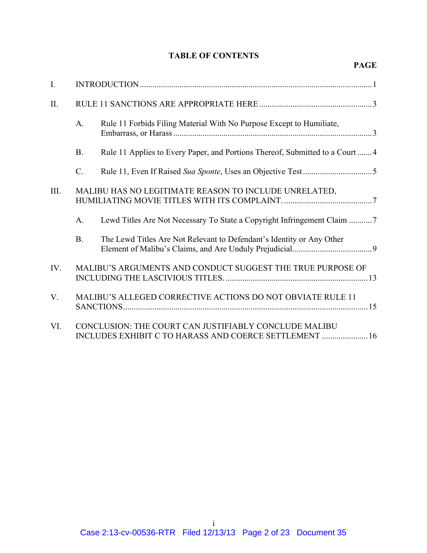# **TABLE OF CONTENTS**

| $\mathbf{I}$ . |                                                       |                                                                                                                 |
|----------------|-------------------------------------------------------|-----------------------------------------------------------------------------------------------------------------|
| II.            |                                                       |                                                                                                                 |
|                | A.                                                    | Rule 11 Forbids Filing Material With No Purpose Except to Humiliate,                                            |
|                | <b>B.</b>                                             | Rule 11 Applies to Every Paper, and Portions Thereof, Submitted to a Court4                                     |
|                | $\mathcal{C}$ .                                       |                                                                                                                 |
| III.           | MALIBU HAS NO LEGITIMATE REASON TO INCLUDE UNRELATED, |                                                                                                                 |
|                | A <sub>1</sub>                                        |                                                                                                                 |
|                | <b>B.</b>                                             | The Lewd Titles Are Not Relevant to Defendant's Identity or Any Other                                           |
| IV.            |                                                       | MALIBU'S ARGUMENTS AND CONDUCT SUGGEST THE TRUE PURPOSE OF                                                      |
| V.             |                                                       | MALIBU'S ALLEGED CORRECTIVE ACTIONS DO NOT OBVIATE RULE 11                                                      |
| VI.            |                                                       | CONCLUSION: THE COURT CAN JUSTIFIABLY CONCLUDE MALIBU<br>INCLUDES EXHIBIT C TO HARASS AND COERCE SETTLEMENT  16 |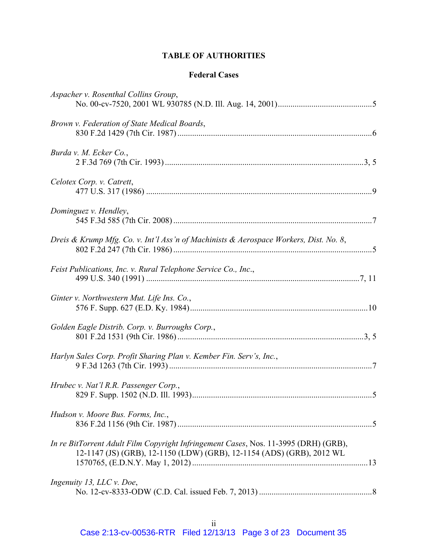# **TABLE OF AUTHORITIES**

## **Federal Cases**

| Aspacher v. Rosenthal Collins Group,                                                                                                                         |  |
|--------------------------------------------------------------------------------------------------------------------------------------------------------------|--|
| Brown v. Federation of State Medical Boards,                                                                                                                 |  |
| Burda v. M. Ecker Co.,                                                                                                                                       |  |
| Celotex Corp. v. Catrett,                                                                                                                                    |  |
| Dominguez v. Hendley,                                                                                                                                        |  |
| Dreis & Krump Mfg. Co. v. Int'l Ass'n of Machinists & Aerospace Workers, Dist. No. 8,                                                                        |  |
| Feist Publications, Inc. v. Rural Telephone Service Co., Inc.,                                                                                               |  |
| Ginter v. Northwestern Mut. Life Ins. Co.,                                                                                                                   |  |
| Golden Eagle Distrib. Corp. v. Burroughs Corp.,                                                                                                              |  |
| Harlyn Sales Corp. Profit Sharing Plan v. Kember Fin. Serv's, Inc.,                                                                                          |  |
| Hrubec v. Nat'l R.R. Passenger Corp.,                                                                                                                        |  |
| Hudson v. Moore Bus. Forms, Inc.,                                                                                                                            |  |
| In re BitTorrent Adult Film Copyright Infringement Cases, Nos. 11-3995 (DRH) (GRB),<br>12-1147 (JS) (GRB), 12-1150 (LDW) (GRB), 12-1154 (ADS) (GRB), 2012 WL |  |
| Ingenuity 13, LLC v. Doe,                                                                                                                                    |  |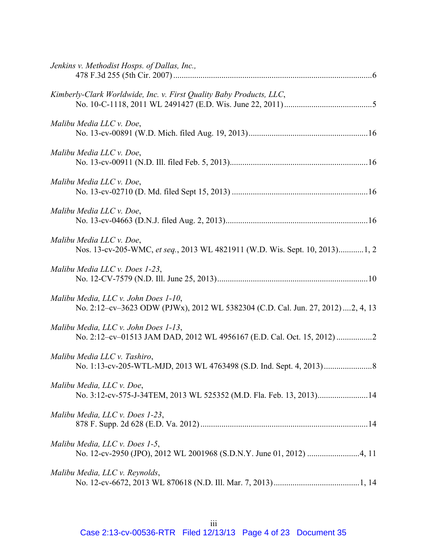| Jenkins v. Methodist Hosps. of Dallas, Inc.,                                                                            |
|-------------------------------------------------------------------------------------------------------------------------|
| Kimberly-Clark Worldwide, Inc. v. First Quality Baby Products, LLC,                                                     |
| Malibu Media LLC v. Doe,                                                                                                |
| Malibu Media LLC v. Doe,                                                                                                |
| Malibu Media LLC v. Doe,                                                                                                |
| Malibu Media LLC v. Doe,                                                                                                |
| Malibu Media LLC v. Doe,<br>Nos. 13-cv-205-WMC, et seq., 2013 WL 4821911 (W.D. Wis. Sept. 10, 2013)1, 2                 |
| Malibu Media LLC v. Does 1-23,                                                                                          |
| Malibu Media, LLC v. John Does 1-10,<br>No. 2:12-cv-3623 ODW (PJWx), 2012 WL 5382304 (C.D. Cal. Jun. 27, 2012) 2, 4, 13 |
| Malibu Media, LLC v. John Does 1-13,                                                                                    |
| Malibu Media LLC v. Tashiro,                                                                                            |
| Malibu Media, LLC v. Doe,<br>No. 3:12-cv-575-J-34TEM, 2013 WL 525352 (M.D. Fla. Feb. 13, 2013) 14                       |
| Malibu Media, LLC v. Does 1-23,                                                                                         |
| Malibu Media, LLC v. Does 1-5,                                                                                          |
| Malibu Media, LLC v. Reynolds,                                                                                          |
|                                                                                                                         |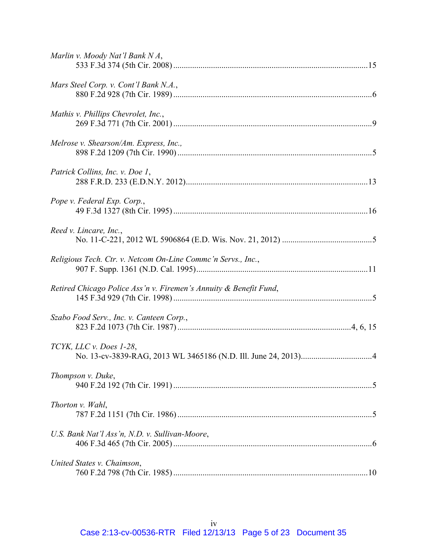| Marlin v. Moody Nat'l Bank N $\ddot{A}$ ,                         |  |
|-------------------------------------------------------------------|--|
| Mars Steel Corp. v. Cont'l Bank N.A.,                             |  |
| Mathis v. Phillips Chevrolet, Inc.,                               |  |
| Melrose v. Shearson/Am. Express, Inc.,                            |  |
| Patrick Collins, Inc. v. Doe 1,                                   |  |
| Pope v. Federal Exp. Corp.,                                       |  |
| Reed v. Lincare, Inc.,                                            |  |
| Religious Tech. Ctr. v. Netcom On-Line Commc'n Servs., Inc.,      |  |
| Retired Chicago Police Ass'n v. Firemen's Annuity & Benefit Fund, |  |
| Szabo Food Serv., Inc. v. Canteen Corp.,                          |  |
| TCYK, LLC v. Does 1-28,                                           |  |
| Thompson v. Duke,                                                 |  |
| Thorton v. Wahl,                                                  |  |
| U.S. Bank Nat'l Ass'n, N.D. v. Sullivan-Moore,                    |  |
| United States v. Chaimson,                                        |  |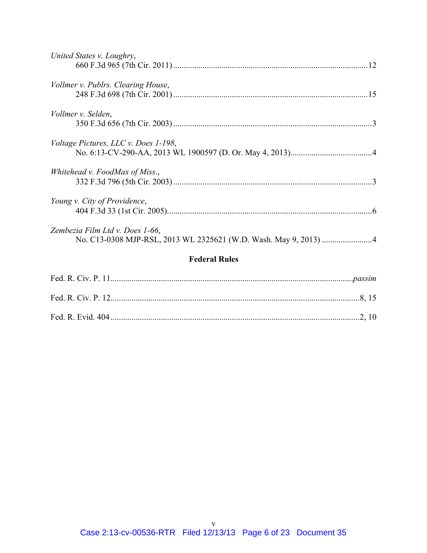| United States v. Loughry,            |  |  |
|--------------------------------------|--|--|
|                                      |  |  |
|                                      |  |  |
| Vollmer v. Publrs. Clearing House,   |  |  |
|                                      |  |  |
| Vollmer v. Selden,                   |  |  |
|                                      |  |  |
|                                      |  |  |
| Voltage Pictures, LLC v. Does 1-198, |  |  |
|                                      |  |  |
|                                      |  |  |
| Whitehead v. FoodMax of Miss.,       |  |  |
|                                      |  |  |
|                                      |  |  |
| Young v. City of Providence,         |  |  |
|                                      |  |  |
|                                      |  |  |
| Zembezia Film Ltd v. Does 1-66,      |  |  |
|                                      |  |  |
| <b>Federal Rules</b>                 |  |  |
|                                      |  |  |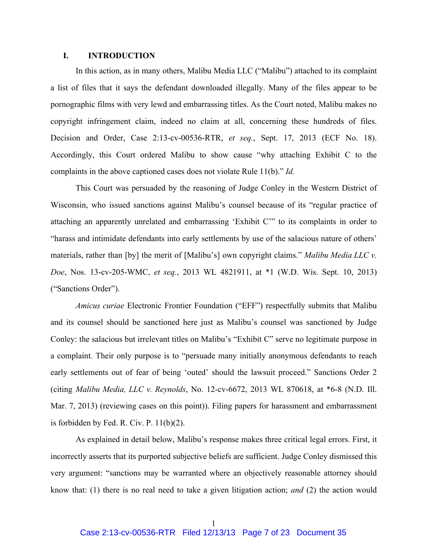#### **I. INTRODUCTION**

In this action, as in many others, Malibu Media LLC ("Malibu") attached to its complaint a list of files that it says the defendant downloaded illegally. Many of the files appear to be pornographic films with very lewd and embarrassing titles. As the Court noted, Malibu makes no copyright infringement claim, indeed no claim at all, concerning these hundreds of files. Decision and Order, Case 2:13-cv-00536-RTR, *et seq.*, Sept. 17, 2013 (ECF No. 18). Accordingly, this Court ordered Malibu to show cause "why attaching Exhibit C to the complaints in the above captioned cases does not violate Rule 11(b)." *Id.*

This Court was persuaded by the reasoning of Judge Conley in the Western District of Wisconsin, who issued sanctions against Malibu's counsel because of its "regular practice of attaching an apparently unrelated and embarrassing 'Exhibit C'" to its complaints in order to "harass and intimidate defendants into early settlements by use of the salacious nature of others' materials, rather than [by] the merit of [Malibu's] own copyright claims." *Malibu Media LLC v. Doe*, Nos. 13-cv-205-WMC, *et seq.*, 2013 WL 4821911, at \*1 (W.D. Wis. Sept. 10, 2013) ("Sanctions Order").

*Amicus curiae* Electronic Frontier Foundation ("EFF") respectfully submits that Malibu and its counsel should be sanctioned here just as Malibu's counsel was sanctioned by Judge Conley: the salacious but irrelevant titles on Malibu's "Exhibit C" serve no legitimate purpose in a complaint. Their only purpose is to "persuade many initially anonymous defendants to reach early settlements out of fear of being 'outed' should the lawsuit proceed." Sanctions Order 2 (citing *Malibu Media, LLC v. Reynolds*, No. 12-cv-6672, 2013 WL 870618, at \*6-8 (N.D. Ill. Mar. 7, 2013) (reviewing cases on this point)). Filing papers for harassment and embarrassment is forbidden by Fed. R. Civ. P.  $11(b)(2)$ .

As explained in detail below, Malibu's response makes three critical legal errors. First, it incorrectly asserts that its purported subjective beliefs are sufficient. Judge Conley dismissed this very argument: "sanctions may be warranted where an objectively reasonable attorney should know that: (1) there is no real need to take a given litigation action; *and* (2) the action would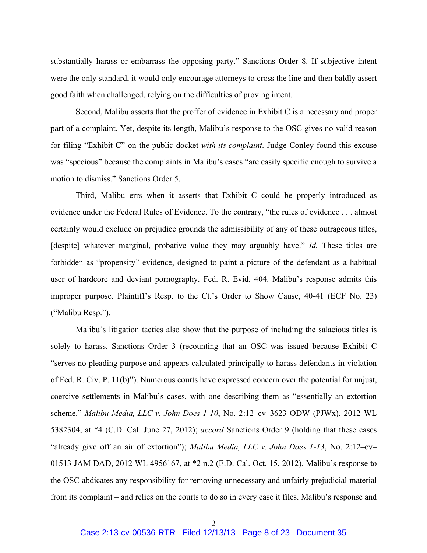substantially harass or embarrass the opposing party." Sanctions Order 8. If subjective intent were the only standard, it would only encourage attorneys to cross the line and then baldly assert good faith when challenged, relying on the difficulties of proving intent.

Second, Malibu asserts that the proffer of evidence in Exhibit C is a necessary and proper part of a complaint. Yet, despite its length, Malibu's response to the OSC gives no valid reason for filing "Exhibit C" on the public docket *with its complaint*. Judge Conley found this excuse was "specious" because the complaints in Malibu's cases "are easily specific enough to survive a motion to dismiss." Sanctions Order 5.

Third, Malibu errs when it asserts that Exhibit C could be properly introduced as evidence under the Federal Rules of Evidence. To the contrary, "the rules of evidence . . . almost certainly would exclude on prejudice grounds the admissibility of any of these outrageous titles, [despite] whatever marginal, probative value they may arguably have." *Id.* These titles are forbidden as "propensity" evidence, designed to paint a picture of the defendant as a habitual user of hardcore and deviant pornography. Fed. R. Evid. 404. Malibu's response admits this improper purpose. Plaintiff's Resp. to the Ct.'s Order to Show Cause, 40-41 (ECF No. 23) ("Malibu Resp.").

Malibu's litigation tactics also show that the purpose of including the salacious titles is solely to harass. Sanctions Order 3 (recounting that an OSC was issued because Exhibit C "serves no pleading purpose and appears calculated principally to harass defendants in violation of Fed. R. Civ. P. 11(b)"). Numerous courts have expressed concern over the potential for unjust, coercive settlements in Malibu's cases, with one describing them as "essentially an extortion scheme." *Malibu Media, LLC v. John Does 1-10*, No. 2:12–cv–3623 ODW (PJWx), 2012 WL 5382304, at \*4 (C.D. Cal. June 27, 2012); *accord* Sanctions Order 9 (holding that these cases "already give off an air of extortion"); *Malibu Media, LLC v. John Does 1-13*, No. 2:12–cv– 01513 JAM DAD, 2012 WL 4956167, at \*2 n.2 (E.D. Cal. Oct. 15, 2012). Malibu's response to the OSC abdicates any responsibility for removing unnecessary and unfairly prejudicial material from its complaint – and relies on the courts to do so in every case it files. Malibu's response and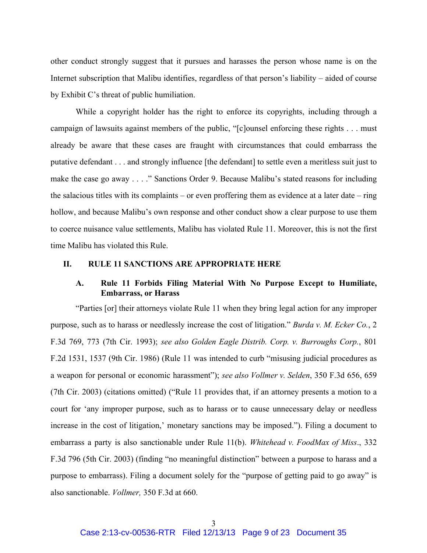other conduct strongly suggest that it pursues and harasses the person whose name is on the Internet subscription that Malibu identifies, regardless of that person's liability – aided of course by Exhibit C's threat of public humiliation.

While a copyright holder has the right to enforce its copyrights, including through a campaign of lawsuits against members of the public, "[c]ounsel enforcing these rights . . . must already be aware that these cases are fraught with circumstances that could embarrass the putative defendant . . . and strongly influence [the defendant] to settle even a meritless suit just to make the case go away . . . ." Sanctions Order 9. Because Malibu's stated reasons for including the salacious titles with its complaints – or even proffering them as evidence at a later date – ring hollow, and because Malibu's own response and other conduct show a clear purpose to use them to coerce nuisance value settlements, Malibu has violated Rule 11. Moreover, this is not the first time Malibu has violated this Rule.

#### **II. RULE 11 SANCTIONS ARE APPROPRIATE HERE**

### **A. Rule 11 Forbids Filing Material With No Purpose Except to Humiliate, Embarrass, or Harass**

"Parties [or] their attorneys violate Rule 11 when they bring legal action for any improper purpose, such as to harass or needlessly increase the cost of litigation." *Burda v. M. Ecker Co.*, 2 F.3d 769, 773 (7th Cir. 1993); *see also Golden Eagle Distrib. Corp. v. Burroughs Corp.*, 801 F.2d 1531, 1537 (9th Cir. 1986) (Rule 11 was intended to curb "misusing judicial procedures as a weapon for personal or economic harassment"); *see also Vollmer v. Selden*, 350 F.3d 656, 659 (7th Cir. 2003) (citations omitted) ("Rule 11 provides that, if an attorney presents a motion to a court for 'any improper purpose, such as to harass or to cause unnecessary delay or needless increase in the cost of litigation,' monetary sanctions may be imposed."). Filing a document to embarrass a party is also sanctionable under Rule 11(b). *Whitehead v. FoodMax of Miss*., 332 F.3d 796 (5th Cir. 2003) (finding "no meaningful distinction" between a purpose to harass and a purpose to embarrass). Filing a document solely for the "purpose of getting paid to go away" is also sanctionable. *Vollmer,* 350 F.3d at 660.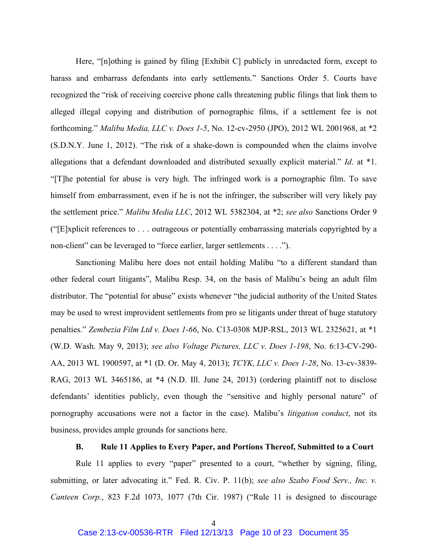Here, "[n]othing is gained by filing [Exhibit C] publicly in unredacted form, except to harass and embarrass defendants into early settlements." Sanctions Order 5. Courts have recognized the "risk of receiving coercive phone calls threatening public filings that link them to alleged illegal copying and distribution of pornographic films, if a settlement fee is not forthcoming." *Malibu Media, LLC v. Does 1-5*, No. 12-cv-2950 (JPO), 2012 WL 2001968, at \*2 (S.D.N.Y. June 1, 2012). "The risk of a shake-down is compounded when the claims involve allegations that a defendant downloaded and distributed sexually explicit material." *Id*. at \*1. "[T]he potential for abuse is very high. The infringed work is a pornographic film. To save himself from embarrassment, even if he is not the infringer, the subscriber will very likely pay the settlement price." *Malibu Media LLC*, 2012 WL 5382304, at \*2; *see also* Sanctions Order 9 ("[E]xplicit references to . . . outrageous or potentially embarrassing materials copyrighted by a non-client" can be leveraged to "force earlier, larger settlements . . . .").

Sanctioning Malibu here does not entail holding Malibu "to a different standard than other federal court litigants", Malibu Resp. 34, on the basis of Malibu's being an adult film distributor. The "potential for abuse" exists whenever "the judicial authority of the United States may be used to wrest improvident settlements from pro se litigants under threat of huge statutory penalties." *Zembezia Film Ltd v. Does 1-66*, No. C13-0308 MJP-RSL, 2013 WL 2325621, at \*1 (W.D. Wash. May 9, 2013); *see also Voltage Pictures, LLC v. Does 1-198*, No. 6:13-CV-290- AA, 2013 WL 1900597, at \*1 (D. Or. May 4, 2013); *TCYK, LLC v. Does 1-28*, No. 13-cv-3839- RAG, 2013 WL 3465186, at \*4 (N.D. Ill. June 24, 2013) (ordering plaintiff not to disclose defendants' identities publicly, even though the "sensitive and highly personal nature" of pornography accusations were not a factor in the case). Malibu's *litigation conduct*, not its business, provides ample grounds for sanctions here.

#### **B. Rule 11 Applies to Every Paper, and Portions Thereof, Submitted to a Court**

Rule 11 applies to every "paper" presented to a court, "whether by signing, filing, submitting, or later advocating it." Fed. R. Civ. P. 11(b); *see also Szabo Food Serv., Inc. v. Canteen Corp.*, 823 F.2d 1073, 1077 (7th Cir. 1987) ("Rule 11 is designed to discourage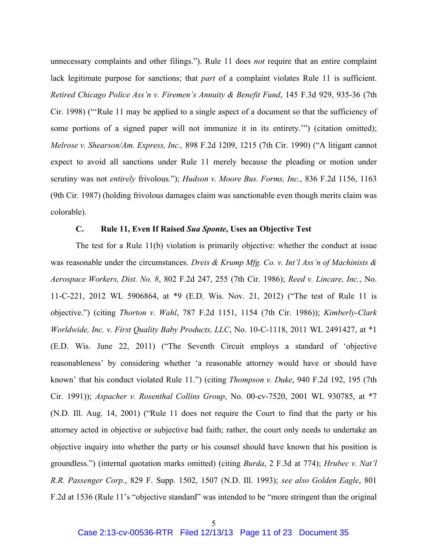unnecessary complaints and other filings."). Rule 11 does *not* require that an entire complaint lack legitimate purpose for sanctions; that *part* of a complaint violates Rule 11 is sufficient. *Retired Chicago Police Ass'n v. Firemen's Annuity & Benefit Fund*, 145 F.3d 929, 935-36 (7th Cir. 1998) ("'Rule 11 may be applied to a single aspect of a document so that the sufficiency of some portions of a signed paper will not immunize it in its entirety.'") (citation omitted); *Melrose v. Shearson/Am. Express, Inc.,* 898 F.2d 1209, 1215 (7th Cir. 1990) ("A litigant cannot expect to avoid all sanctions under Rule 11 merely because the pleading or motion under scrutiny was not *entirely* frivolous."); *Hudson v. Moore Bus. Forms, Inc.*, 836 F.2d 1156, 1163 (9th Cir. 1987) (holding frivolous damages claim was sanctionable even though merits claim was colorable).

#### **C. Rule 11, Even If Raised** *Sua Sponte***, Uses an Objective Test**

The test for a Rule 11(b) violation is primarily objective: whether the conduct at issue was reasonable under the circumstances. *Dreis & Krump Mfg. Co. v. Int'l Ass'n of Machinists & Aerospace Workers, Dist. No. 8*, 802 F.2d 247, 255 (7th Cir. 1986); *Reed v. Lincare, Inc.*, No. 11-C-221, 2012 WL 5906864, at \*9 (E.D. Wis. Nov. 21, 2012) ("The test of Rule 11 is objective.") (citing *Thorton v. Wahl*, 787 F.2d 1151, 1154 (7th Cir. 1986)); *Kimberly-Clark Worldwide, Inc. v. First Quality Baby Products, LLC*, No. 10-C-1118, 2011 WL 2491427, at \*1 (E.D. Wis. June 22, 2011) ("The Seventh Circuit employs a standard of 'objective reasonableness' by considering whether 'a reasonable attorney would have or should have known' that his conduct violated Rule 11.") (citing *Thompson v. Duke*, 940 F.2d 192, 195 (7th Cir. 1991)); *Aspacher v. Rosenthal Collins Group*, No. 00-cv-7520, 2001 WL 930785, at \*7 (N.D. Ill. Aug. 14, 2001) ("Rule 11 does not require the Court to find that the party or his attorney acted in objective or subjective bad faith; rather, the court only needs to undertake an objective inquiry into whether the party or his counsel should have known that his position is groundless.") (internal quotation marks omitted) (citing *Burda*, 2 F.3d at 774); *Hrubec v. Nat'l R.R. Passenger Corp.*, 829 F. Supp. 1502, 1507 (N.D. Ill. 1993); *see also Golden Eagle*, 801 F.2d at 1536 (Rule 11's "objective standard" was intended to be "more stringent than the original

Case 2:13-cv-00536-RTR Filed 12/13/13 Page 11 of 23 Document 35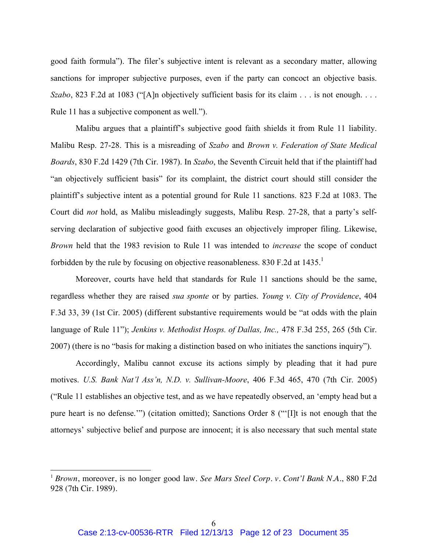good faith formula"). The filer's subjective intent is relevant as a secondary matter, allowing sanctions for improper subjective purposes, even if the party can concoct an objective basis. *Szabo*, 823 F.2d at 1083 ("[A]n objectively sufficient basis for its claim . . . is not enough. . . . Rule 11 has a subjective component as well.").

Malibu argues that a plaintiff's subjective good faith shields it from Rule 11 liability. Malibu Resp. 27-28. This is a misreading of *Szabo* and *Brown v. Federation of State Medical Boards*, 830 F.2d 1429 (7th Cir. 1987). In *Szabo*, the Seventh Circuit held that if the plaintiff had "an objectively sufficient basis" for its complaint, the district court should still consider the plaintiff's subjective intent as a potential ground for Rule 11 sanctions. 823 F.2d at 1083. The Court did *not* hold, as Malibu misleadingly suggests, Malibu Resp. 27-28, that a party's selfserving declaration of subjective good faith excuses an objectively improper filing. Likewise, *Brown* held that the 1983 revision to Rule 11 was intended to *increase* the scope of conduct forbidden by the rule by focusing on objective reasonableness. 830 F.2d at  $1435$ <sup>1</sup>

Moreover, courts have held that standards for Rule 11 sanctions should be the same, regardless whether they are raised *sua sponte* or by parties. *Young v. City of Providence*, 404 F.3d 33, 39 (1st Cir. 2005) (different substantive requirements would be "at odds with the plain language of Rule 11"); *Jenkins v. Methodist Hosps. of Dallas, Inc.,* 478 F.3d 255, 265 (5th Cir. 2007) (there is no "basis for making a distinction based on who initiates the sanctions inquiry").

Accordingly, Malibu cannot excuse its actions simply by pleading that it had pure motives. *U.S. Bank Nat'l Ass'n, N.D. v. Sullivan-Moore*, 406 F.3d 465, 470 (7th Cir. 2005) ("Rule 11 establishes an objective test, and as we have repeatedly observed, an 'empty head but a pure heart is no defense.'") (citation omitted); Sanctions Order 8 ("'[I]t is not enough that the attorneys' subjective belief and purpose are innocent; it is also necessary that such mental state

<sup>1</sup> *Brown*, moreover, is no longer good law. *See Mars Steel Corp. v. Cont'l Bank N.A.*, 880 F.2d 928 (7th Cir. 1989).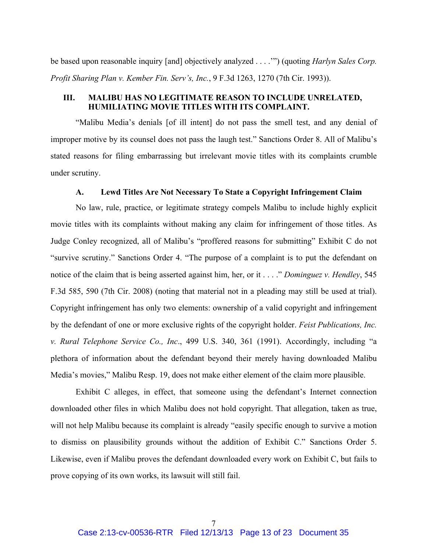be based upon reasonable inquiry [and] objectively analyzed . . . .'") (quoting *Harlyn Sales Corp. Profit Sharing Plan v. Kember Fin. Serv's, Inc.*, 9 F.3d 1263, 1270 (7th Cir. 1993)).

### **III. MALIBU HAS NO LEGITIMATE REASON TO INCLUDE UNRELATED, HUMILIATING MOVIE TITLES WITH ITS COMPLAINT.**

"Malibu Media's denials [of ill intent] do not pass the smell test, and any denial of improper motive by its counsel does not pass the laugh test." Sanctions Order 8. All of Malibu's stated reasons for filing embarrassing but irrelevant movie titles with its complaints crumble under scrutiny.

#### **A. Lewd Titles Are Not Necessary To State a Copyright Infringement Claim**

No law, rule, practice, or legitimate strategy compels Malibu to include highly explicit movie titles with its complaints without making any claim for infringement of those titles. As Judge Conley recognized, all of Malibu's "proffered reasons for submitting" Exhibit C do not "survive scrutiny." Sanctions Order 4. "The purpose of a complaint is to put the defendant on notice of the claim that is being asserted against him, her, or it . . . ." *Dominguez v. Hendley*, 545 F.3d 585, 590 (7th Cir. 2008) (noting that material not in a pleading may still be used at trial). Copyright infringement has only two elements: ownership of a valid copyright and infringement by the defendant of one or more exclusive rights of the copyright holder. *Feist Publications, Inc. v. Rural Telephone Service Co., Inc*., 499 U.S. 340, 361 (1991). Accordingly, including "a plethora of information about the defendant beyond their merely having downloaded Malibu Media's movies," Malibu Resp. 19, does not make either element of the claim more plausible.

Exhibit C alleges, in effect, that someone using the defendant's Internet connection downloaded other files in which Malibu does not hold copyright. That allegation, taken as true, will not help Malibu because its complaint is already "easily specific enough to survive a motion to dismiss on plausibility grounds without the addition of Exhibit C." Sanctions Order 5. Likewise, even if Malibu proves the defendant downloaded every work on Exhibit C, but fails to prove copying of its own works, its lawsuit will still fail.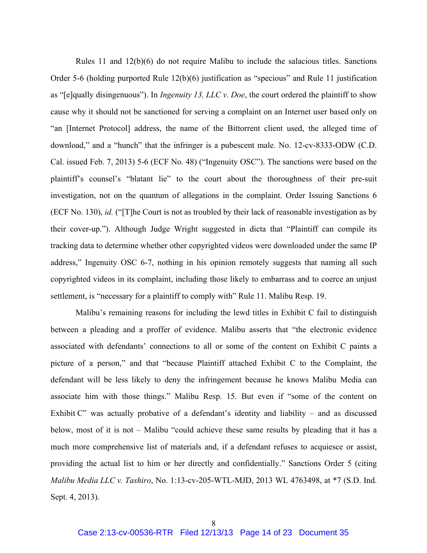Rules 11 and 12(b)(6) do not require Malibu to include the salacious titles. Sanctions Order 5-6 (holding purported Rule 12(b)(6) justification as "specious" and Rule 11 justification as "[e]qually disingenuous"). In *Ingenuity 13, LLC v. Doe*, the court ordered the plaintiff to show cause why it should not be sanctioned for serving a complaint on an Internet user based only on "an [Internet Protocol] address, the name of the Bittorrent client used, the alleged time of download," and a "hunch" that the infringer is a pubescent male. No. 12-cv-8333-ODW (C.D. Cal. issued Feb. 7, 2013) 5-6 (ECF No. 48) ("Ingenuity OSC"). The sanctions were based on the plaintiff's counsel's "blatant lie" to the court about the thoroughness of their pre-suit investigation, not on the quantum of allegations in the complaint. Order Issuing Sanctions 6 (ECF No. 130), *id.* ("[T]he Court is not as troubled by their lack of reasonable investigation as by their cover-up."). Although Judge Wright suggested in dicta that "Plaintiff can compile its tracking data to determine whether other copyrighted videos were downloaded under the same IP address," Ingenuity OSC 6-7, nothing in his opinion remotely suggests that naming all such copyrighted videos in its complaint, including those likely to embarrass and to coerce an unjust settlement, is "necessary for a plaintiff to comply with" Rule 11. Malibu Resp. 19.

Malibu's remaining reasons for including the lewd titles in Exhibit C fail to distinguish between a pleading and a proffer of evidence. Malibu asserts that "the electronic evidence associated with defendants' connections to all or some of the content on Exhibit C paints a picture of a person," and that "because Plaintiff attached Exhibit C to the Complaint, the defendant will be less likely to deny the infringement because he knows Malibu Media can associate him with those things." Malibu Resp. 15. But even if "some of the content on Exhibit C" was actually probative of a defendant's identity and liability – and as discussed below, most of it is not – Malibu "could achieve these same results by pleading that it has a much more comprehensive list of materials and, if a defendant refuses to acquiesce or assist, providing the actual list to him or her directly and confidentially." Sanctions Order 5 (citing *Malibu Media LLC v. Tashiro*, No. 1:13-cv-205-WTL-MJD, 2013 WL 4763498, at \*7 (S.D. Ind. Sept. 4, 2013).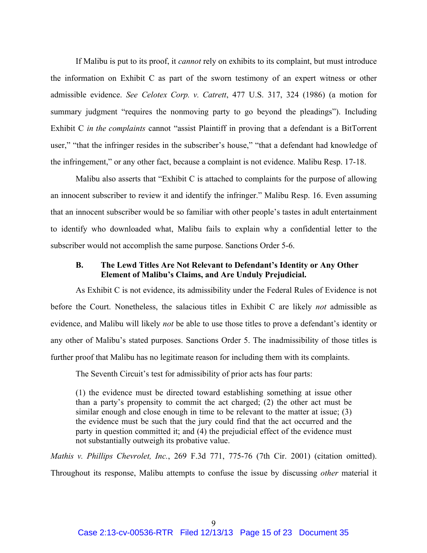If Malibu is put to its proof, it *cannot* rely on exhibits to its complaint, but must introduce the information on Exhibit C as part of the sworn testimony of an expert witness or other admissible evidence. *See Celotex Corp. v. Catrett*, 477 U.S. 317, 324 (1986) (a motion for summary judgment "requires the nonmoving party to go beyond the pleadings"). Including Exhibit C *in the complaints* cannot "assist Plaintiff in proving that a defendant is a BitTorrent user," "that the infringer resides in the subscriber's house," "that a defendant had knowledge of the infringement," or any other fact, because a complaint is not evidence. Malibu Resp. 17-18.

Malibu also asserts that "Exhibit C is attached to complaints for the purpose of allowing an innocent subscriber to review it and identify the infringer." Malibu Resp. 16. Even assuming that an innocent subscriber would be so familiar with other people's tastes in adult entertainment to identify who downloaded what, Malibu fails to explain why a confidential letter to the subscriber would not accomplish the same purpose. Sanctions Order 5-6.

## **B. The Lewd Titles Are Not Relevant to Defendant's Identity or Any Other Element of Malibu's Claims, and Are Unduly Prejudicial.**

As Exhibit C is not evidence, its admissibility under the Federal Rules of Evidence is not before the Court. Nonetheless, the salacious titles in Exhibit C are likely *not* admissible as evidence, and Malibu will likely *not* be able to use those titles to prove a defendant's identity or any other of Malibu's stated purposes. Sanctions Order 5. The inadmissibility of those titles is further proof that Malibu has no legitimate reason for including them with its complaints.

The Seventh Circuit's test for admissibility of prior acts has four parts:

(1) the evidence must be directed toward establishing something at issue other than a party's propensity to commit the act charged; (2) the other act must be similar enough and close enough in time to be relevant to the matter at issue; (3) the evidence must be such that the jury could find that the act occurred and the party in question committed it; and (4) the prejudicial effect of the evidence must not substantially outweigh its probative value.

*Mathis v. Phillips Chevrolet, Inc.*, 269 F.3d 771, 775-76 (7th Cir. 2001) (citation omitted). Throughout its response, Malibu attempts to confuse the issue by discussing *other* material it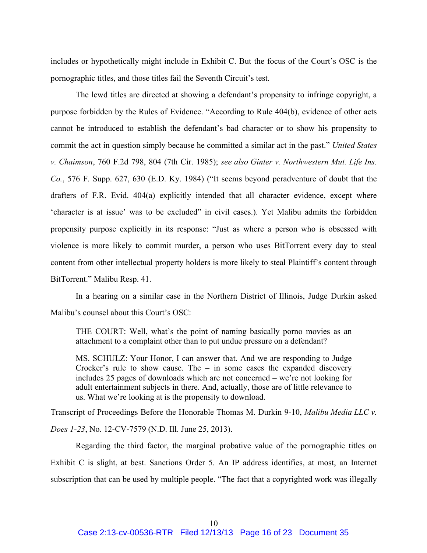includes or hypothetically might include in Exhibit C. But the focus of the Court's OSC is the pornographic titles, and those titles fail the Seventh Circuit's test.

The lewd titles are directed at showing a defendant's propensity to infringe copyright, a purpose forbidden by the Rules of Evidence. "According to Rule 404(b), evidence of other acts cannot be introduced to establish the defendant's bad character or to show his propensity to commit the act in question simply because he committed a similar act in the past." *United States v. Chaimson*, 760 F.2d 798, 804 (7th Cir. 1985); *see also Ginter v. Northwestern Mut. Life Ins. Co.*, 576 F. Supp. 627, 630 (E.D. Ky. 1984) ("It seems beyond peradventure of doubt that the drafters of F.R. Evid. 404(a) explicitly intended that all character evidence, except where 'character is at issue' was to be excluded" in civil cases.). Yet Malibu admits the forbidden propensity purpose explicitly in its response: "Just as where a person who is obsessed with violence is more likely to commit murder, a person who uses BitTorrent every day to steal content from other intellectual property holders is more likely to steal Plaintiff's content through BitTorrent." Malibu Resp. 41.

In a hearing on a similar case in the Northern District of Illinois, Judge Durkin asked Malibu's counsel about this Court's OSC:

THE COURT: Well, what's the point of naming basically porno movies as an attachment to a complaint other than to put undue pressure on a defendant?

MS. SCHULZ: Your Honor, I can answer that. And we are responding to Judge Crocker's rule to show cause. The – in some cases the expanded discovery includes 25 pages of downloads which are not concerned – we're not looking for adult entertainment subjects in there. And, actually, those are of little relevance to us. What we're looking at is the propensity to download.

Transcript of Proceedings Before the Honorable Thomas M. Durkin 9-10, *Malibu Media LLC v. Does 1-23*, No. 12-CV-7579 (N.D. Ill. June 25, 2013).

Regarding the third factor, the marginal probative value of the pornographic titles on Exhibit C is slight, at best. Sanctions Order 5. An IP address identifies, at most, an Internet subscription that can be used by multiple people. "The fact that a copyrighted work was illegally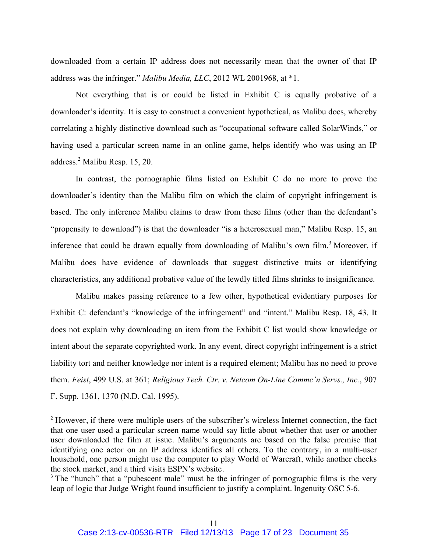downloaded from a certain IP address does not necessarily mean that the owner of that IP address was the infringer." *Malibu Media, LLC*, 2012 WL 2001968, at \*1.

Not everything that is or could be listed in Exhibit C is equally probative of a downloader's identity. It is easy to construct a convenient hypothetical, as Malibu does, whereby correlating a highly distinctive download such as "occupational software called SolarWinds," or having used a particular screen name in an online game, helps identify who was using an IP address.2 Malibu Resp. 15, 20.

In contrast, the pornographic films listed on Exhibit C do no more to prove the downloader's identity than the Malibu film on which the claim of copyright infringement is based. The only inference Malibu claims to draw from these films (other than the defendant's "propensity to download") is that the downloader "is a heterosexual man," Malibu Resp. 15, an inference that could be drawn equally from downloading of Malibu's own film.<sup>3</sup> Moreover, if Malibu does have evidence of downloads that suggest distinctive traits or identifying characteristics, any additional probative value of the lewdly titled films shrinks to insignificance.

Malibu makes passing reference to a few other, hypothetical evidentiary purposes for Exhibit C: defendant's "knowledge of the infringement" and "intent." Malibu Resp. 18, 43. It does not explain why downloading an item from the Exhibit C list would show knowledge or intent about the separate copyrighted work. In any event, direct copyright infringement is a strict liability tort and neither knowledge nor intent is a required element; Malibu has no need to prove them. *Feist*, 499 U.S. at 361; *Religious Tech. Ctr. v. Netcom On-Line Commc'n Servs., Inc.*, 907 F. Supp. 1361, 1370 (N.D. Cal. 1995).

<sup>&</sup>lt;sup>2</sup> However, if there were multiple users of the subscriber's wireless Internet connection, the fact that one user used a particular screen name would say little about whether that user or another user downloaded the film at issue. Malibu's arguments are based on the false premise that identifying one actor on an IP address identifies all others. To the contrary, in a multi-user household, one person might use the computer to play World of Warcraft, while another checks the stock market, and a third visits ESPN's website.

<sup>&</sup>lt;sup>3</sup> The "hunch" that a "pubescent male" must be the infringer of pornographic films is the very leap of logic that Judge Wright found insufficient to justify a complaint. Ingenuity OSC 5-6.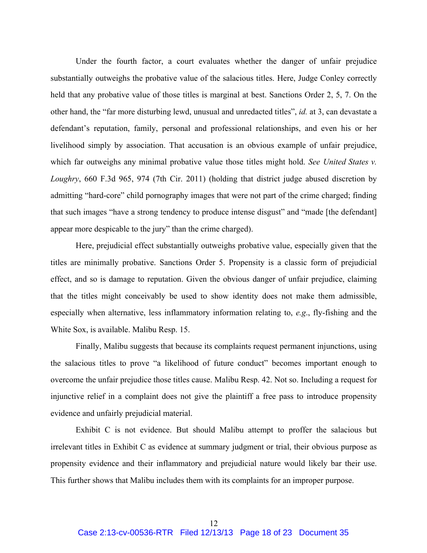Under the fourth factor, a court evaluates whether the danger of unfair prejudice substantially outweighs the probative value of the salacious titles. Here, Judge Conley correctly held that any probative value of those titles is marginal at best. Sanctions Order 2, 5, 7. On the other hand, the "far more disturbing lewd, unusual and unredacted titles", *id.* at 3, can devastate a defendant's reputation, family, personal and professional relationships, and even his or her livelihood simply by association. That accusation is an obvious example of unfair prejudice, which far outweighs any minimal probative value those titles might hold. *See United States v. Loughry*, 660 F.3d 965, 974 (7th Cir. 2011) (holding that district judge abused discretion by admitting "hard-core" child pornography images that were not part of the crime charged; finding that such images "have a strong tendency to produce intense disgust" and "made [the defendant] appear more despicable to the jury" than the crime charged).

Here, prejudicial effect substantially outweighs probative value, especially given that the titles are minimally probative. Sanctions Order 5. Propensity is a classic form of prejudicial effect, and so is damage to reputation. Given the obvious danger of unfair prejudice, claiming that the titles might conceivably be used to show identity does not make them admissible, especially when alternative, less inflammatory information relating to, *e.g*., fly-fishing and the White Sox, is available. Malibu Resp. 15.

Finally, Malibu suggests that because its complaints request permanent injunctions, using the salacious titles to prove "a likelihood of future conduct" becomes important enough to overcome the unfair prejudice those titles cause. Malibu Resp. 42. Not so. Including a request for injunctive relief in a complaint does not give the plaintiff a free pass to introduce propensity evidence and unfairly prejudicial material.

Exhibit C is not evidence. But should Malibu attempt to proffer the salacious but irrelevant titles in Exhibit C as evidence at summary judgment or trial, their obvious purpose as propensity evidence and their inflammatory and prejudicial nature would likely bar their use. This further shows that Malibu includes them with its complaints for an improper purpose.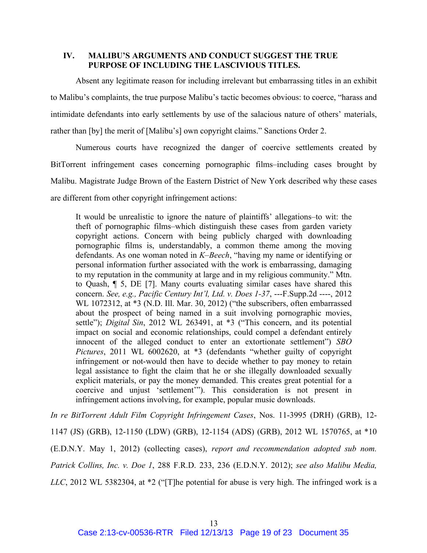### **IV. MALIBU'S ARGUMENTS AND CONDUCT SUGGEST THE TRUE PURPOSE OF INCLUDING THE LASCIVIOUS TITLES.**

Absent any legitimate reason for including irrelevant but embarrassing titles in an exhibit to Malibu's complaints, the true purpose Malibu's tactic becomes obvious: to coerce, "harass and intimidate defendants into early settlements by use of the salacious nature of others' materials, rather than [by] the merit of [Malibu's] own copyright claims." Sanctions Order 2.

Numerous courts have recognized the danger of coercive settlements created by BitTorrent infringement cases concerning pornographic films–including cases brought by Malibu. Magistrate Judge Brown of the Eastern District of New York described why these cases are different from other copyright infringement actions:

It would be unrealistic to ignore the nature of plaintiffs' allegations–to wit: the theft of pornographic films–which distinguish these cases from garden variety copyright actions. Concern with being publicly charged with downloading pornographic films is, understandably, a common theme among the moving defendants. As one woman noted in *K–Beech*, "having my name or identifying or personal information further associated with the work is embarrassing, damaging to my reputation in the community at large and in my religious community." Mtn. to Quash, ¶ 5, DE [7]. Many courts evaluating similar cases have shared this concern. *See, e.g., Pacific Century Int'l, Ltd. v. Does 1-37*, ---F.Supp.2d ----, 2012 WL 1072312, at  $*3$  (N.D. Ill. Mar. 30, 2012) ("the subscribers, often embarrassed about the prospect of being named in a suit involving pornographic movies, settle"); *Digital Sin*, 2012 WL 263491, at \*3 ("This concern, and its potential impact on social and economic relationships, could compel a defendant entirely innocent of the alleged conduct to enter an extortionate settlement") *SBO Pictures*, 2011 WL 6002620, at \*3 (defendants "whether guilty of copyright infringement or not-would then have to decide whether to pay money to retain legal assistance to fight the claim that he or she illegally downloaded sexually explicit materials, or pay the money demanded. This creates great potential for a coercive and unjust 'settlement'"). This consideration is not present in infringement actions involving, for example, popular music downloads.

*In re BitTorrent Adult Film Copyright Infringement Cases*, Nos. 11-3995 (DRH) (GRB), 12- 1147 (JS) (GRB), 12-1150 (LDW) (GRB), 12-1154 (ADS) (GRB), 2012 WL 1570765, at \*10 (E.D.N.Y. May 1, 2012) (collecting cases), *report and recommendation adopted sub nom. Patrick Collins, Inc. v. Doe 1*, 288 F.R.D. 233, 236 (E.D.N.Y. 2012); *see also Malibu Media, LLC*, 2012 WL 5382304, at \*2 ("[T]he potential for abuse is very high. The infringed work is a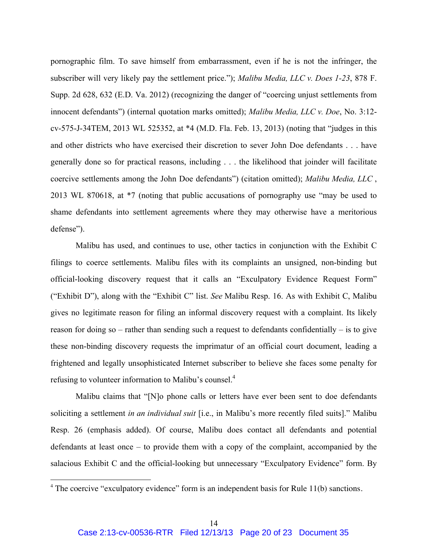pornographic film. To save himself from embarrassment, even if he is not the infringer, the subscriber will very likely pay the settlement price."); *Malibu Media, LLC v. Does 1-23*, 878 F. Supp. 2d 628, 632 (E.D. Va. 2012) (recognizing the danger of "coercing unjust settlements from innocent defendants") (internal quotation marks omitted); *Malibu Media, LLC v. Doe*, No. 3:12 cv-575-J-34TEM, 2013 WL 525352, at \*4 (M.D. Fla. Feb. 13, 2013) (noting that "judges in this and other districts who have exercised their discretion to sever John Doe defendants . . . have generally done so for practical reasons, including . . . the likelihood that joinder will facilitate coercive settlements among the John Doe defendants") (citation omitted); *Malibu Media, LLC* , 2013 WL 870618, at \*7 (noting that public accusations of pornography use "may be used to shame defendants into settlement agreements where they may otherwise have a meritorious defense").

Malibu has used, and continues to use, other tactics in conjunction with the Exhibit C filings to coerce settlements. Malibu files with its complaints an unsigned, non-binding but official-looking discovery request that it calls an "Exculpatory Evidence Request Form" ("Exhibit D"), along with the "Exhibit C" list. *See* Malibu Resp. 16. As with Exhibit C, Malibu gives no legitimate reason for filing an informal discovery request with a complaint. Its likely reason for doing so – rather than sending such a request to defendants confidentially – is to give these non-binding discovery requests the imprimatur of an official court document, leading a frightened and legally unsophisticated Internet subscriber to believe she faces some penalty for refusing to volunteer information to Malibu's counsel.<sup>4</sup>

Malibu claims that "[N]o phone calls or letters have ever been sent to doe defendants soliciting a settlement *in an individual suit* [i.e., in Malibu's more recently filed suits]." Malibu Resp. 26 (emphasis added). Of course, Malibu does contact all defendants and potential defendants at least once – to provide them with a copy of the complaint, accompanied by the salacious Exhibit C and the official-looking but unnecessary "Exculpatory Evidence" form. By

 $4$  The coercive "exculpatory evidence" form is an independent basis for Rule 11(b) sanctions.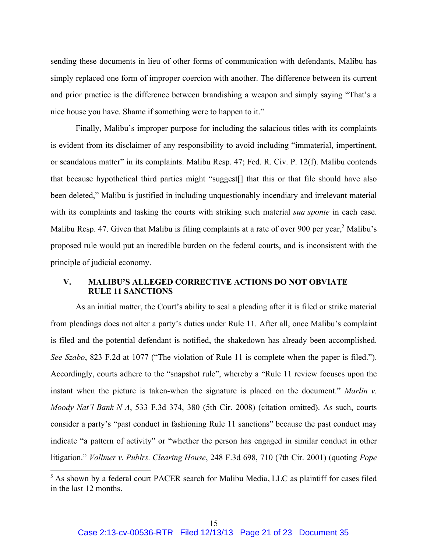sending these documents in lieu of other forms of communication with defendants, Malibu has simply replaced one form of improper coercion with another. The difference between its current and prior practice is the difference between brandishing a weapon and simply saying "That's a nice house you have. Shame if something were to happen to it."

Finally, Malibu's improper purpose for including the salacious titles with its complaints is evident from its disclaimer of any responsibility to avoid including "immaterial, impertinent, or scandalous matter" in its complaints. Malibu Resp. 47; Fed. R. Civ. P. 12(f). Malibu contends that because hypothetical third parties might "suggest[] that this or that file should have also been deleted," Malibu is justified in including unquestionably incendiary and irrelevant material with its complaints and tasking the courts with striking such material *sua sponte* in each case. Malibu Resp. 47. Given that Malibu is filing complaints at a rate of over 900 per year,<sup>5</sup> Malibu's proposed rule would put an incredible burden on the federal courts, and is inconsistent with the principle of judicial economy.

## **V. MALIBU'S ALLEGED CORRECTIVE ACTIONS DO NOT OBVIATE RULE 11 SANCTIONS**

As an initial matter, the Court's ability to seal a pleading after it is filed or strike material from pleadings does not alter a party's duties under Rule 11. After all, once Malibu's complaint is filed and the potential defendant is notified, the shakedown has already been accomplished. *See Szabo*, 823 F.2d at 1077 ("The violation of Rule 11 is complete when the paper is filed."). Accordingly, courts adhere to the "snapshot rule", whereby a "Rule 11 review focuses upon the instant when the picture is taken-when the signature is placed on the document." *Marlin v. Moody Nat'l Bank N A*, 533 F.3d 374, 380 (5th Cir. 2008) (citation omitted). As such, courts consider a party's "past conduct in fashioning Rule 11 sanctions" because the past conduct may indicate "a pattern of activity" or "whether the person has engaged in similar conduct in other litigation." *Vollmer v. Publrs. Clearing House*, 248 F.3d 698, 710 (7th Cir. 2001) (quoting *Pope* 

 $5$  As shown by a federal court PACER search for Malibu Media, LLC as plaintiff for cases filed in the last 12 months.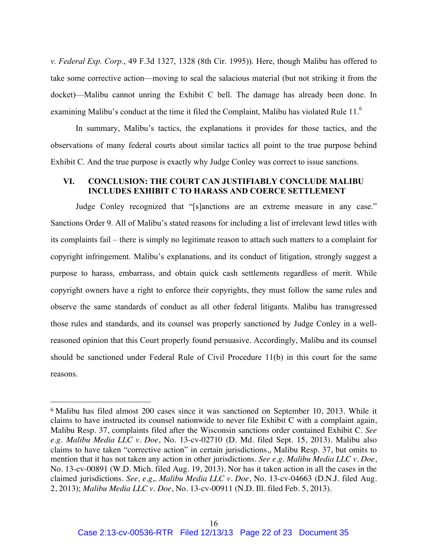*v. Federal Exp. Corp.*, 49 F.3d 1327, 1328 (8th Cir. 1995)). Here, though Malibu has offered to take some corrective action—moving to seal the salacious material (but not striking it from the docket)—Malibu cannot unring the Exhibit C bell. The damage has already been done. In examining Malibu's conduct at the time it filed the Complaint, Malibu has violated Rule 11.<sup>6</sup>

In summary, Malibu's tactics, the explanations it provides for those tactics, and the observations of many federal courts about similar tactics all point to the true purpose behind Exhibit C. And the true purpose is exactly why Judge Conley was correct to issue sanctions.

### **VI. CONCLUSION: THE COURT CAN JUSTIFIABLY CONCLUDE MALIBU INCLUDES EXHIBIT C TO HARASS AND COERCE SETTLEMENT**

Judge Conley recognized that "[s]anctions are an extreme measure in any case." Sanctions Order 9. All of Malibu's stated reasons for including a list of irrelevant lewd titles with its complaints fail – there is simply no legitimate reason to attach such matters to a complaint for copyright infringement. Malibu's explanations, and its conduct of litigation, strongly suggest a purpose to harass, embarrass, and obtain quick cash settlements regardless of merit. While copyright owners have a right to enforce their copyrights, they must follow the same rules and observe the same standards of conduct as all other federal litigants. Malibu has transgressed those rules and standards, and its counsel was properly sanctioned by Judge Conley in a wellreasoned opinion that this Court properly found persuasive. Accordingly, Malibu and its counsel should be sanctioned under Federal Rule of Civil Procedure 11(b) in this court for the same reasons.

<sup>6</sup> Malibu has filed almost 200 cases since it was sanctioned on September 10, 2013. While it claims to have instructed its counsel nationwide to never file Exhibit C with a complaint again, Malibu Resp. 37, complaints filed after the Wisconsin sanctions order contained Exhibit C. *See e.g. Malibu Media LLC v. Doe*, No. 13-cv-02710 (D. Md. filed Sept. 15, 2013). Malibu also claims to have taken "corrective action" in certain jurisdictions,, Malibu Resp. 37, but omits to mention that it has not taken any action in other jurisdictions. *See e.g*. *Malibu Media LLC v. Doe*, No. 13-cv-00891 (W.D. Mich. filed Aug. 19, 2013). Nor has it taken action in all the cases in the claimed jurisdictions. *See, e.g*,*. Malibu Media LLC v. Doe*, No. 13-cv-04663 (D.N.J. filed Aug. 2, 2013); *Malibu Media LLC v. Doe*, No. 13-cv-00911 (N.D. Ill. filed Feb. 5, 2013).